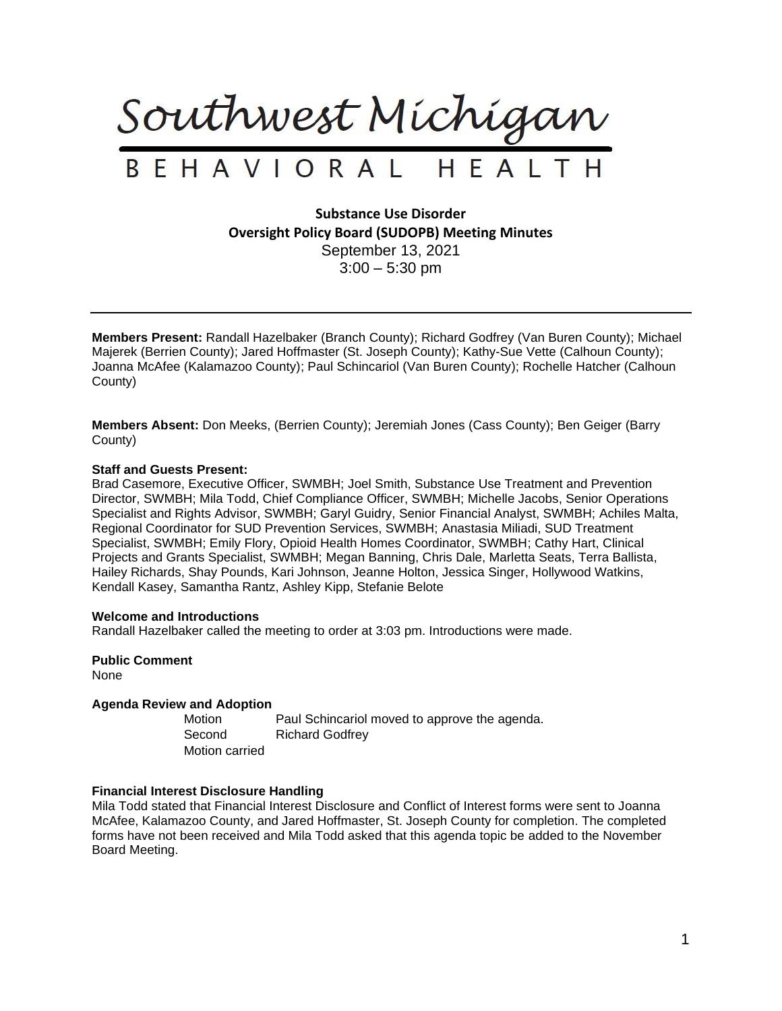

# BEHAVIORAL HEALTH

**Substance Use Disorder Oversight Policy Board (SUDOPB) Meeting Minutes** September 13, 2021  $3:00 - 5:30$  pm

**Members Present:** Randall Hazelbaker (Branch County); Richard Godfrey (Van Buren County); Michael Majerek (Berrien County); Jared Hoffmaster (St. Joseph County); Kathy-Sue Vette (Calhoun County); Joanna McAfee (Kalamazoo County); Paul Schincariol (Van Buren County); Rochelle Hatcher (Calhoun County)

**Members Absent:** Don Meeks, (Berrien County); Jeremiah Jones (Cass County); Ben Geiger (Barry County)

# **Staff and Guests Present:**

Brad Casemore, Executive Officer, SWMBH; Joel Smith, Substance Use Treatment and Prevention Director, SWMBH; Mila Todd, Chief Compliance Officer, SWMBH; Michelle Jacobs, Senior Operations Specialist and Rights Advisor, SWMBH; Garyl Guidry, Senior Financial Analyst, SWMBH; Achiles Malta, Regional Coordinator for SUD Prevention Services, SWMBH; Anastasia Miliadi, SUD Treatment Specialist, SWMBH; Emily Flory, Opioid Health Homes Coordinator, SWMBH; Cathy Hart, Clinical Projects and Grants Specialist, SWMBH; Megan Banning, Chris Dale, Marletta Seats, Terra Ballista, Hailey Richards, Shay Pounds, Kari Johnson, Jeanne Holton, Jessica Singer, Hollywood Watkins, Kendall Kasey, Samantha Rantz, Ashley Kipp, Stefanie Belote

## **Welcome and Introductions**

Randall Hazelbaker called the meeting to order at 3:03 pm. Introductions were made.

**Public Comment** None

# **Agenda Review and Adoption**

Motion Paul Schincariol moved to approve the agenda. Second Richard Godfrey Motion carried

# **Financial Interest Disclosure Handling**

Mila Todd stated that Financial Interest Disclosure and Conflict of Interest forms were sent to Joanna McAfee, Kalamazoo County, and Jared Hoffmaster, St. Joseph County for completion. The completed forms have not been received and Mila Todd asked that this agenda topic be added to the November Board Meeting.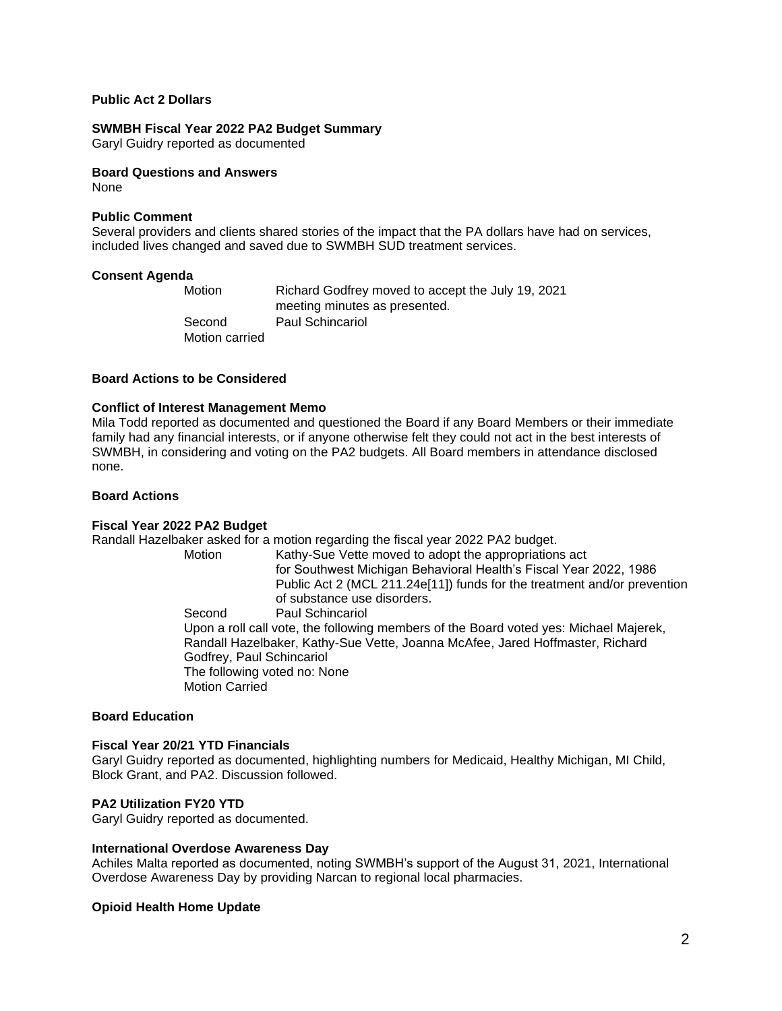# **Public Act 2 Dollars**

## **SWMBH Fiscal Year 2022 PA2 Budget Summary**

Garyl Guidry reported as documented

#### **Board Questions and Answers** None

## **Public Comment**

Several providers and clients shared stories of the impact that the PA dollars have had on services, included lives changed and saved due to SWMBH SUD treatment services.

## **Consent Agenda**

Motion Richard Godfrey moved to accept the July 19, 2021 meeting minutes as presented. Second Paul Schincariol Motion carried

## **Board Actions to be Considered**

## **Conflict of Interest Management Memo**

Mila Todd reported as documented and questioned the Board if any Board Members or their immediate family had any financial interests, or if anyone otherwise felt they could not act in the best interests of SWMBH, in considering and voting on the PA2 budgets. All Board members in attendance disclosed none.

## **Board Actions**

## **Fiscal Year 2022 PA2 Budget**

Randall Hazelbaker asked for a motion regarding the fiscal year 2022 PA2 budget.

Kathy-Sue Vette moved to adopt the appropriations act for Southwest Michigan Behavioral Health's Fiscal Year 2022, 1986 Public Act 2 (MCL 211.24e[11]) funds for the treatment and/or prevention of substance use disorders. Second Paul Schincariol

Upon a roll call vote, the following members of the Board voted yes: Michael Majerek, Randall Hazelbaker, Kathy-Sue Vette, Joanna McAfee, Jared Hoffmaster, Richard Godfrey, Paul Schincariol The following voted no: None Motion Carried

# **Board Education**

## **Fiscal Year 20/21 YTD Financials**

Garyl Guidry reported as documented, highlighting numbers for Medicaid, Healthy Michigan, MI Child, Block Grant, and PA2. Discussion followed.

# **PA2 Utilization FY20 YTD**

Garyl Guidry reported as documented.

## **International Overdose Awareness Day**

Achiles Malta reported as documented, noting SWMBH's support of the August 31, 2021, International Overdose Awareness Day by providing Narcan to regional local pharmacies.

## **Opioid Health Home Update**